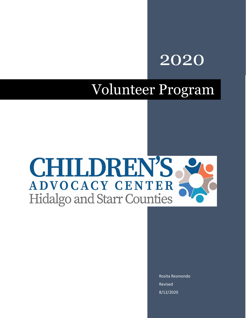# 2020

# Volunteer Program



Rosita Resmondo Revised 8/12/2020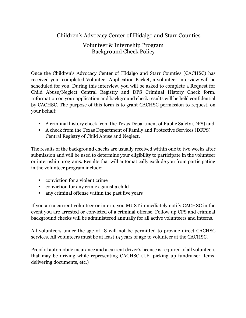### Volunteer & Internship Program Background Check Policy

Once the Children's Advocacy Center of Hidalgo and Starr Counties (CACHSC) has received your completed Volunteer Application Packet, a volunteer interview will be scheduled for you. During this interview, you will be asked to complete a Request for Child Abuse/Neglect Central Registry and DPS Criminal History Check form. Information on your application and background check results will be held confidential by CACHSC. The purpose of this form is to grant CACHSC permission to request, on your behalf:

- A criminal history check from the Texas Department of Public Safety (DPS) and
- A check from the Texas Department of Family and Protective Services (DFPS) Central Registry of Child Abuse and Neglect.

The results of the background checks are usually received within one to two weeks after submission and will be used to determine your eligibility to participate in the volunteer or internship programs. Results that will automatically exclude you from participating in the volunteer program include:

- conviction for a violent crime
- conviction for any crime against a child
- any criminal offense within the past five years

If you are a current volunteer or intern, you MUST immediately notify CACHSC in the event you are arrested or convicted of a criminal offense. Follow up CPS and criminal background checks will be administered annually for all active volunteers and interns.

All volunteers under the age of 18 will not be permitted to provide direct CACHSC services. All volunteers must be at least 15 years of age to volunteer at the CACHSC.

Proof of automobile insurance and a current driver's license is required of all volunteers that may be driving while representing CACHSC (I.E. picking up fundraiser items, delivering documents, etc.)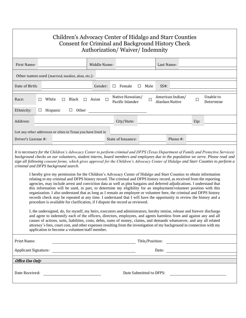| Children's Advocacy Center of Hidalgo and Starr Counties<br><b>Consent for Criminal and Background History Check</b><br>Authorization/Waiver/Indemnity                                                                                                                                                                                                                                                                                                                                                                                                                                                                                                                                                                                                                                                                                                                                                                                                                                                                                                                                                                                                                                                                                                                                                                                                                                                                                                                                                                                                                                                                                                                                                                                                                                                                                                   |            |          |            |                                                                                                                        |   |                                      |           |                                    |          |      |                                                                                                                  |
|----------------------------------------------------------------------------------------------------------------------------------------------------------------------------------------------------------------------------------------------------------------------------------------------------------------------------------------------------------------------------------------------------------------------------------------------------------------------------------------------------------------------------------------------------------------------------------------------------------------------------------------------------------------------------------------------------------------------------------------------------------------------------------------------------------------------------------------------------------------------------------------------------------------------------------------------------------------------------------------------------------------------------------------------------------------------------------------------------------------------------------------------------------------------------------------------------------------------------------------------------------------------------------------------------------------------------------------------------------------------------------------------------------------------------------------------------------------------------------------------------------------------------------------------------------------------------------------------------------------------------------------------------------------------------------------------------------------------------------------------------------------------------------------------------------------------------------------------------------|------------|----------|------------|------------------------------------------------------------------------------------------------------------------------|---|--------------------------------------|-----------|------------------------------------|----------|------|------------------------------------------------------------------------------------------------------------------|
| First Name:                                                                                                                                                                                                                                                                                                                                                                                                                                                                                                                                                                                                                                                                                                                                                                                                                                                                                                                                                                                                                                                                                                                                                                                                                                                                                                                                                                                                                                                                                                                                                                                                                                                                                                                                                                                                                                              |            |          |            | Middle Name:                                                                                                           |   |                                      |           | Last Name:                         |          |      |                                                                                                                  |
| Other names used (married, maiden, alias, etc.):                                                                                                                                                                                                                                                                                                                                                                                                                                                                                                                                                                                                                                                                                                                                                                                                                                                                                                                                                                                                                                                                                                                                                                                                                                                                                                                                                                                                                                                                                                                                                                                                                                                                                                                                                                                                         |            |          |            |                                                                                                                        |   |                                      |           |                                    |          |      |                                                                                                                  |
| Date of Birth:                                                                                                                                                                                                                                                                                                                                                                                                                                                                                                                                                                                                                                                                                                                                                                                                                                                                                                                                                                                                                                                                                                                                                                                                                                                                                                                                                                                                                                                                                                                                                                                                                                                                                                                                                                                                                                           |            |          |            | Gender:                                                                                                                |   | $\Box$ Female                        | Male<br>⊔ | $SS#$ :                            |          |      |                                                                                                                  |
| Race:                                                                                                                                                                                                                                                                                                                                                                                                                                                                                                                                                                                                                                                                                                                                                                                                                                                                                                                                                                                                                                                                                                                                                                                                                                                                                                                                                                                                                                                                                                                                                                                                                                                                                                                                                                                                                                                    | White<br>□ | □        | Black      | $\Box$ Asian                                                                                                           | □ | Native Hawaiian/<br>Pacific Islander | □         | American Indian/<br>Alaskan Native |          | □    | Unable to<br>Determine                                                                                           |
| Ethnicity:                                                                                                                                                                                                                                                                                                                                                                                                                                                                                                                                                                                                                                                                                                                                                                                                                                                                                                                                                                                                                                                                                                                                                                                                                                                                                                                                                                                                                                                                                                                                                                                                                                                                                                                                                                                                                                               | ப          | Hispanic | Other<br>ш |                                                                                                                        |   |                                      |           |                                    |          |      |                                                                                                                  |
| Address:                                                                                                                                                                                                                                                                                                                                                                                                                                                                                                                                                                                                                                                                                                                                                                                                                                                                                                                                                                                                                                                                                                                                                                                                                                                                                                                                                                                                                                                                                                                                                                                                                                                                                                                                                                                                                                                 |            |          |            |                                                                                                                        |   | City/State:                          |           |                                    |          | Zip: |                                                                                                                  |
| List any other addresses or cities in Texas you have lived in<br>Driver's License #:                                                                                                                                                                                                                                                                                                                                                                                                                                                                                                                                                                                                                                                                                                                                                                                                                                                                                                                                                                                                                                                                                                                                                                                                                                                                                                                                                                                                                                                                                                                                                                                                                                                                                                                                                                     |            |          |            |                                                                                                                        |   | State of Issuance:                   |           |                                    | Phone #: |      |                                                                                                                  |
| It is necessary for the Children's Advocacy Center to perform criminal and DFPS (Texas Department of Family and Protective Services)<br>background checks on our volunteers, student interns, board members and employees due to the population we serve. Please read and<br>sign all following consent forms, which gives approval for the Children's Advocacy Center of Hidalgo and Starr Counties to perform a<br>criminal and DFPS background search.<br>I hereby give my permission for the Children's Advocacy Center of Hidalgo and Starr Counties to obtain information<br>relating to my criminal and DFPS history record. The criminal and DFPS history record, as received from the reporting<br>agencies, may include arrest and conviction data as well as plea bargains and deferred adjudications. I understand that<br>this information will be used, in part, to determine my eligibility for an employment/volunteer position with this<br>organization. I also understand that as long as I remain an employee or volunteer here, the criminal and DFPS history<br>records check may be repeated at any time. I understand that I will have the opportunity to review the history and a<br>procedure is available for clarification, if I dispute the record as reviewed.<br>I, the undersigned, do, for myself, my heirs, executors and administrators, hereby remise, release and forever discharge<br>and agree to indemnify each of the officers, directors, employees, and agents harmless from and against any and all<br>causes of actions, suits, liabilities, costs, debts, sums of money, claims, and demands whatsoever, and any all related<br>attorney's fees, court cost, and other expenses resulting from the investigation of my background in connection with my<br>application to become a volunteer/staff member. |            |          |            |                                                                                                                        |   |                                      |           |                                    |          |      |                                                                                                                  |
| Print Name:                                                                                                                                                                                                                                                                                                                                                                                                                                                                                                                                                                                                                                                                                                                                                                                                                                                                                                                                                                                                                                                                                                                                                                                                                                                                                                                                                                                                                                                                                                                                                                                                                                                                                                                                                                                                                                              |            |          |            |                                                                                                                        |   |                                      |           |                                    |          |      | and the set of the set of the set of the set of the set of the set of the set of the set of the set of the set o |
| <b>Applicant Signature:</b>                                                                                                                                                                                                                                                                                                                                                                                                                                                                                                                                                                                                                                                                                                                                                                                                                                                                                                                                                                                                                                                                                                                                                                                                                                                                                                                                                                                                                                                                                                                                                                                                                                                                                                                                                                                                                              |            |          |            |                                                                                                                        |   |                                      |           |                                    |          |      |                                                                                                                  |
| <b>Office Use Only</b>                                                                                                                                                                                                                                                                                                                                                                                                                                                                                                                                                                                                                                                                                                                                                                                                                                                                                                                                                                                                                                                                                                                                                                                                                                                                                                                                                                                                                                                                                                                                                                                                                                                                                                                                                                                                                                   |            |          |            |                                                                                                                        |   |                                      |           |                                    |          |      |                                                                                                                  |
| Date Received:                                                                                                                                                                                                                                                                                                                                                                                                                                                                                                                                                                                                                                                                                                                                                                                                                                                                                                                                                                                                                                                                                                                                                                                                                                                                                                                                                                                                                                                                                                                                                                                                                                                                                                                                                                                                                                           |            |          |            | <u> Alexandria (Carlo Carlo Carlo Carlo Carlo Carlo Carlo Carlo Carlo Carlo Carlo Carlo Carlo Carlo Carlo Carlo Ca</u> |   |                                      |           | Date Submitted to DFPS:            |          |      |                                                                                                                  |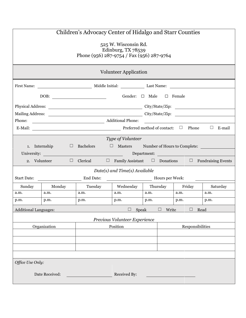| Children's Advocacy Center of Hidalgo and Starr Counties                                |              |                                                                                    |                                             |                    |                |          |  |
|-----------------------------------------------------------------------------------------|--------------|------------------------------------------------------------------------------------|---------------------------------------------|--------------------|----------------|----------|--|
| 525 W. Wisconsin Rd.<br>Edinburg, TX 78539<br>Phone (956) 287-9754 / Fax (956) 287-9764 |              |                                                                                    |                                             |                    |                |          |  |
| <b>Volunteer Application</b>                                                            |              |                                                                                    |                                             |                    |                |          |  |
|                                                                                         |              |                                                                                    |                                             |                    |                |          |  |
| Gender: □ Male □ Female                                                                 |              |                                                                                    |                                             |                    |                |          |  |
|                                                                                         |              |                                                                                    |                                             |                    |                |          |  |
|                                                                                         |              |                                                                                    |                                             |                    |                |          |  |
|                                                                                         |              |                                                                                    |                                             |                    |                |          |  |
|                                                                                         |              |                                                                                    |                                             |                    |                | E-mail   |  |
|                                                                                         |              |                                                                                    | Type of Volunteer                           |                    |                |          |  |
| 1. Internship                                                                           |              | $\Box$ Bachelors                                                                   | $\Box$ Masters Number of Hours to Complete: |                    |                |          |  |
|                                                                                         | University:  | <u> 1990 - Jan Barbara (j. 1980)</u>                                               |                                             | Department:        |                |          |  |
|                                                                                         | 2. Volunteer | $\Box$ Clerical $\Box$ Family Assistant $\Box$ Donations $\Box$ Fundraising Events |                                             |                    |                |          |  |
|                                                                                         |              |                                                                                    | Date(s) and Time(s) Available               |                    |                |          |  |
| <b>Start Date:</b>                                                                      |              | End Date:                                                                          | Hours per Week:                             |                    |                |          |  |
| Sunday                                                                                  | Monday       | Tuesday                                                                            |                                             | Wednesday Thursday | Friday         | Saturday |  |
| a.m.                                                                                    | a.m.         | a.m.                                                                               | a.m.                                        | a.m.               | a.m.           | a.m.     |  |
| p.m.                                                                                    | p.m.         | p.m.                                                                               | p.m.                                        | p.m.               | p.m.           | p.m.     |  |
| <b>Additional Languages:</b>                                                            |              |                                                                                    | Speak<br>$\Box$                             | $\Box$<br>Write    | Read<br>$\Box$ |          |  |
| Previous Volunteer Experience                                                           |              |                                                                                    |                                             |                    |                |          |  |
|                                                                                         | Organization | Position                                                                           |                                             | Responsibilities   |                |          |  |
|                                                                                         |              |                                                                                    |                                             |                    |                |          |  |
|                                                                                         |              |                                                                                    |                                             |                    |                |          |  |
|                                                                                         |              |                                                                                    |                                             |                    |                |          |  |
|                                                                                         |              |                                                                                    |                                             |                    |                |          |  |
| Office Use Only:                                                                        |              |                                                                                    |                                             |                    |                |          |  |
| Date Received:<br>Received By:                                                          |              |                                                                                    |                                             |                    |                |          |  |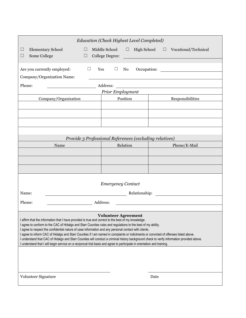| Education (Check Highest Level Completed)                                                                                                                                                                                                                                                                                                                                                                                                                                                                                                                                                                                                                                                                                                                                     |                                                         |                                                                                                                      |  |  |  |  |  |
|-------------------------------------------------------------------------------------------------------------------------------------------------------------------------------------------------------------------------------------------------------------------------------------------------------------------------------------------------------------------------------------------------------------------------------------------------------------------------------------------------------------------------------------------------------------------------------------------------------------------------------------------------------------------------------------------------------------------------------------------------------------------------------|---------------------------------------------------------|----------------------------------------------------------------------------------------------------------------------|--|--|--|--|--|
| <b>Elementary School</b><br>⊔<br>⊔                                                                                                                                                                                                                                                                                                                                                                                                                                                                                                                                                                                                                                                                                                                                            | Middle School<br>$\Box$<br>High School                  | $\Box$ Vocational/Technical                                                                                          |  |  |  |  |  |
| Some College<br>$\Box$<br>$\Box$                                                                                                                                                                                                                                                                                                                                                                                                                                                                                                                                                                                                                                                                                                                                              | College Degree:                                         | <u> 1989 - Johann Barn, mars eta bat erroman erroman erroman erroman erroman erroman erroman erroman erroman err</u> |  |  |  |  |  |
| Are you currently employed:<br>$\Box$                                                                                                                                                                                                                                                                                                                                                                                                                                                                                                                                                                                                                                                                                                                                         | Yes<br>$\Box$<br>No                                     | Occupation:                                                                                                          |  |  |  |  |  |
| Company/Organization Name:                                                                                                                                                                                                                                                                                                                                                                                                                                                                                                                                                                                                                                                                                                                                                    |                                                         |                                                                                                                      |  |  |  |  |  |
| Phone:<br>Address:                                                                                                                                                                                                                                                                                                                                                                                                                                                                                                                                                                                                                                                                                                                                                            |                                                         |                                                                                                                      |  |  |  |  |  |
|                                                                                                                                                                                                                                                                                                                                                                                                                                                                                                                                                                                                                                                                                                                                                                               | Prior Employment                                        |                                                                                                                      |  |  |  |  |  |
| Company/Organization                                                                                                                                                                                                                                                                                                                                                                                                                                                                                                                                                                                                                                                                                                                                                          | Position                                                | Responsibilities                                                                                                     |  |  |  |  |  |
|                                                                                                                                                                                                                                                                                                                                                                                                                                                                                                                                                                                                                                                                                                                                                                               |                                                         |                                                                                                                      |  |  |  |  |  |
|                                                                                                                                                                                                                                                                                                                                                                                                                                                                                                                                                                                                                                                                                                                                                                               |                                                         |                                                                                                                      |  |  |  |  |  |
|                                                                                                                                                                                                                                                                                                                                                                                                                                                                                                                                                                                                                                                                                                                                                                               |                                                         |                                                                                                                      |  |  |  |  |  |
|                                                                                                                                                                                                                                                                                                                                                                                                                                                                                                                                                                                                                                                                                                                                                                               |                                                         |                                                                                                                      |  |  |  |  |  |
|                                                                                                                                                                                                                                                                                                                                                                                                                                                                                                                                                                                                                                                                                                                                                                               | Provide 3 Professional References (excluding relatives) |                                                                                                                      |  |  |  |  |  |
| Name                                                                                                                                                                                                                                                                                                                                                                                                                                                                                                                                                                                                                                                                                                                                                                          | Relation                                                | Phone/E-Mail                                                                                                         |  |  |  |  |  |
|                                                                                                                                                                                                                                                                                                                                                                                                                                                                                                                                                                                                                                                                                                                                                                               |                                                         |                                                                                                                      |  |  |  |  |  |
|                                                                                                                                                                                                                                                                                                                                                                                                                                                                                                                                                                                                                                                                                                                                                                               |                                                         |                                                                                                                      |  |  |  |  |  |
|                                                                                                                                                                                                                                                                                                                                                                                                                                                                                                                                                                                                                                                                                                                                                                               |                                                         |                                                                                                                      |  |  |  |  |  |
|                                                                                                                                                                                                                                                                                                                                                                                                                                                                                                                                                                                                                                                                                                                                                                               |                                                         |                                                                                                                      |  |  |  |  |  |
|                                                                                                                                                                                                                                                                                                                                                                                                                                                                                                                                                                                                                                                                                                                                                                               | <b>Emergency Contact</b>                                |                                                                                                                      |  |  |  |  |  |
| Name:                                                                                                                                                                                                                                                                                                                                                                                                                                                                                                                                                                                                                                                                                                                                                                         |                                                         |                                                                                                                      |  |  |  |  |  |
|                                                                                                                                                                                                                                                                                                                                                                                                                                                                                                                                                                                                                                                                                                                                                                               |                                                         |                                                                                                                      |  |  |  |  |  |
| Phone:<br>Address:                                                                                                                                                                                                                                                                                                                                                                                                                                                                                                                                                                                                                                                                                                                                                            |                                                         |                                                                                                                      |  |  |  |  |  |
| <b>Volunteer Agreement</b><br>I affirm that the information that I have provided is true and correct to the best of my knowledge.<br>I agree to conform to the CAC of Hidalgo and Starr Counties rules and regulations to the best of my ability.<br>I agree to respect the confidential nature of case information and any personal contact with clients.<br>I agree to inform CAC of Hidalgo and Starr Counties if I am named in complaints or indictments or convicted of offenses listed above.<br>I understand that CAC of Hidalgo and Starr Counties will conduct a criminal history background check to verify information provided above.<br>I understand that I will begin service on a reciprocal trial basis and agree to participate in orientation and training. |                                                         |                                                                                                                      |  |  |  |  |  |
| Volunteer Signature                                                                                                                                                                                                                                                                                                                                                                                                                                                                                                                                                                                                                                                                                                                                                           |                                                         | Date                                                                                                                 |  |  |  |  |  |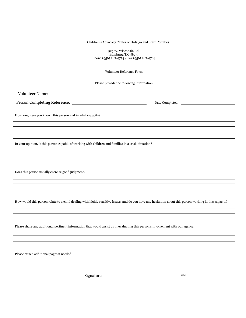| Children's Advocacy Center of Hidalgo and Starr Counties                                                                                                 |  |  |  |  |  |
|----------------------------------------------------------------------------------------------------------------------------------------------------------|--|--|--|--|--|
|                                                                                                                                                          |  |  |  |  |  |
| 525 W. Wisconsin Rd.<br>Edinburg, TX 78539                                                                                                               |  |  |  |  |  |
| Phone (956) 287-9754 / Fax (956) 287-9764                                                                                                                |  |  |  |  |  |
|                                                                                                                                                          |  |  |  |  |  |
| Volunteer Reference Form                                                                                                                                 |  |  |  |  |  |
|                                                                                                                                                          |  |  |  |  |  |
| Please provide the following information                                                                                                                 |  |  |  |  |  |
|                                                                                                                                                          |  |  |  |  |  |
| Volunteer Name:                                                                                                                                          |  |  |  |  |  |
|                                                                                                                                                          |  |  |  |  |  |
|                                                                                                                                                          |  |  |  |  |  |
|                                                                                                                                                          |  |  |  |  |  |
| How long have you known this person and in what capacity?                                                                                                |  |  |  |  |  |
|                                                                                                                                                          |  |  |  |  |  |
|                                                                                                                                                          |  |  |  |  |  |
|                                                                                                                                                          |  |  |  |  |  |
|                                                                                                                                                          |  |  |  |  |  |
| In your opinion, is this person capable of working with children and families in a crisis situation?                                                     |  |  |  |  |  |
|                                                                                                                                                          |  |  |  |  |  |
|                                                                                                                                                          |  |  |  |  |  |
|                                                                                                                                                          |  |  |  |  |  |
|                                                                                                                                                          |  |  |  |  |  |
| Does this person usually exercise good judgment?                                                                                                         |  |  |  |  |  |
|                                                                                                                                                          |  |  |  |  |  |
|                                                                                                                                                          |  |  |  |  |  |
|                                                                                                                                                          |  |  |  |  |  |
|                                                                                                                                                          |  |  |  |  |  |
| How would this person relate to a child dealing with highly sensitive issues, and do you have any hesitation about this person working in this capacity? |  |  |  |  |  |
|                                                                                                                                                          |  |  |  |  |  |
|                                                                                                                                                          |  |  |  |  |  |
|                                                                                                                                                          |  |  |  |  |  |
|                                                                                                                                                          |  |  |  |  |  |
| Please share any additional pertinent information that would assist us in evaluating this person's involvement with our agency.                          |  |  |  |  |  |
|                                                                                                                                                          |  |  |  |  |  |
|                                                                                                                                                          |  |  |  |  |  |
|                                                                                                                                                          |  |  |  |  |  |
|                                                                                                                                                          |  |  |  |  |  |
| Please attach additional pages if needed.                                                                                                                |  |  |  |  |  |
|                                                                                                                                                          |  |  |  |  |  |
|                                                                                                                                                          |  |  |  |  |  |
|                                                                                                                                                          |  |  |  |  |  |
|                                                                                                                                                          |  |  |  |  |  |
| Signature<br>Date                                                                                                                                        |  |  |  |  |  |
|                                                                                                                                                          |  |  |  |  |  |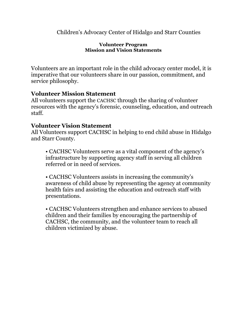#### **Volunteer Program Mission and Vision Statements**

Volunteers are an important role in the child advocacy center model, it is imperative that our volunteers share in our passion, commitment, and service philosophy.

# **Volunteer Mission Statement**

All volunteers support the CACHSC through the sharing of volunteer resources with the agency's forensic, counseling, education, and outreach staff.

# **Volunteer Vision Statement**

All Volunteers support CACHSC in helping to end child abuse in Hidalgo and Starr County.

• CACHSC Volunteers serve as a vital component of the agency's infrastructure by supporting agency staff in serving all children referred or in need of services.

• CACHSC Volunteers assists in increasing the community's awareness of child abuse by representing the agency at community health fairs and assisting the education and outreach staff with presentations.

• CACHSC Volunteers strengthen and enhance services to abused children and their families by encouraging the partnership of CACHSC, the community, and the volunteer team to reach all children victimized by abuse.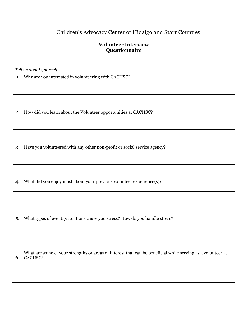#### **Volunteer Interview Questionnaire**

*Tell us about yourself…*

1. Why are you interested in volunteering with CACHSC?

2. How did you learn about the Volunteer opportunities at CACHSC?

3. Have you volunteered with any other non-profit or social service agency?

4. What did you enjoy most about your previous volunteer experience(s)?

5. What types of events/situations cause you stress? How do you handle stress?

6. CACHSC?What are some of your strengths or areas of interest that can be beneficial while serving as a volunteer at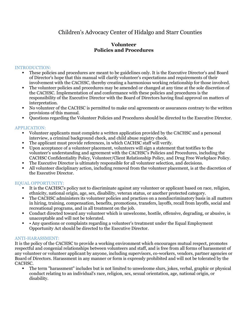#### **Volunteer Policies and Procedures**

#### INTRODUCTION:

- These policies and procedures are meant to be guidelines only. It is the Executive Director's and Board of Director's hope that this manual will clarify volunteer's expectations and requirements of their involvement with the CACHSC, thereby creating a harmonious working relationship for those involved.
- The volunteer policies and procedures may be amended or changed at any time at the sole discretion of the CACHSC. Implementation of and conformance with these policies and procedures is the responsibility of the Executive Director with the Board of Directors having final approval on matters of interpretation.
- No volunteer of the CACHSC is permitted to make oral agreements or assurances contrary to the written provisions of this manual.
- Questions regarding the Volunteer Policies and Procedures should be directed to the Executive Director.

#### APPLICATION:

- Volunteer applicants must complete a written application provided by the CACHSC and a personal interview, a criminal background check, and child abuse registry check.
- The applicant must provide references, in which CACHSC staff will verify.
- Upon acceptance of a volunteer placement, volunteers will sign a statement that testifies to the volunteer's understanding and agreement with the CACHSC's Policies and Procedures, including the CACHSC Confidentiality Policy, Volunteer/Client Relationship Policy, and Drug Free Workplace Policy.
- The Executive Director is ultimately responsible for all volunteer selection, and decisions.
- All volunteer disciplinary action, including removal from the volunteer placement, is at the discretion of the Executive Director.

#### EQUAL OPPORTUNITY:

- It is the CACHSC's policy not to discriminate against any volunteer or applicant based on race, religion, ethnicity, national origin, age, sex, disability, veteran status, or another protected category.
- The CACHSC administers its volunteer policies and practices on a nondiscriminatory basis in all matters in hiring, training, compensation, benefits, promotions, transfers, layoffs, recall from layoffs, social and recreational programs, and in all treatment on the job.
- Conduct directed toward any volunteer which is unwelcome, hostile, offensive, degrading, or abusive, is unacceptable and will not be tolerated.
- • Any questions or complaints regarding a volunteer's treatment under the Equal Employment Opportunity Act should be directed to the Executive Director.

#### ANTI-HARASSMENT:

It is the policy of the CACHSC to provide a working environment which encourages mutual respect, promotes respectful and congenial relationships between volunteers and staff, and is free from all forms of harassment of any volunteer or volunteer applicant by anyone, including supervisors, co-workers, vendors, partner agencies or Board of Directors. Harassment in any manner or form is expressly prohibited and will not be tolerated by the CACHSC.

The term "harassment" includes but is not limited to unwelcome slurs, jokes, verbal, graphic or physical conduct relating to an individual's race, religion, sex, sexual orientation, age, national origin, or disability.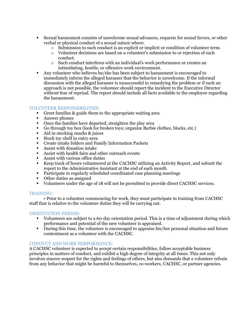- Sexual harassment consists of unwelcome sexual advances, requests for sexual favors, or other verbal or physical conduct of a sexual nature where:
	- $\circ$  Submission to such conduct is an explicit or implicit or condition of volunteer term.
	- o Volunteer decisions are based on a volunteer's submission to or rejection of such conduct.
	- o Such conduct interferes with an individual's work performance or creates an intimidating, hostile, or offensive work environment.
- Any volunteer who believes he/she has been subject to harassment is encouraged to immediately inform the alleged harasser that the behavior is unwelcome. If the informal discussion with the alleged harasser is unsuccessful in remedying the problem or if such an approach is not possible, the volunteer should report the incident to the Executive Director without fear of reprisal. The report should include all facts available to the employee regarding the harassment.

#### VOLUNTEER RESPONSIBILITIES:

- Greet families & guide them to the appropriate waiting area
- Answer phones
- Once the families have departed, straighten the play area
- Go through toy box (look for broken toys; organize Barbie clothes, blocks, etc.)
- Aid in stocking snacks & juices
- Stock toy shelf in entry area
- Create intake folders and Family Information Packets
- Assist with donation intake
- Assist with health fairs and other outreach events
- Assist with various office duties
- Keep track of hours volunteered at the CACHSC utilizing an Activity Report, and submit the report to the Administrative Assistant at the end of each month
- Participate in regularly scheduled coordinated case planning meetings
- Other duties as assigned
- Volunteers under the age of 18 will not be permitted to provide direct CACHSC services.

#### TRAINING:

• Prior to a volunteer commencing for work, they must participate in training from CACHSC staff that is relative to the volunteer duties they will be carrying out.

#### ORIENTATION PERIOD:

- Volunteers are subject to a 60-day orientation period. This is a time of adjustment during which performance and potential of the new volunteer is appraised.
- During this time, the volunteer is encouraged to appraise his/her personal situation and future contentment as a volunteer with the CACHSC.

#### CONDUCT AND WORK PERFORMANCE:

A CACHSC volunteer is expected to accept certain responsibilities, follow acceptable business principles in matters of conduct, and exhibit a high degree of integrity at all times. This not only involves sincere respect for the rights and feelings of others, but also demands that a volunteer refrain from any behavior that might be harmful to themselves, co-workers, CACHSC, or partner agencies.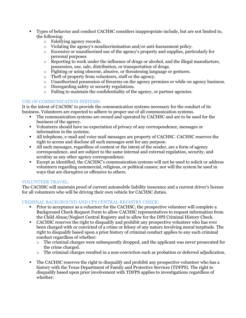- Types of behavior and conduct CACHSC considers inappropriate include, but are not limited to, the following:
	- o Falsifying agency records.
	- o Violating the agency's nondiscrimination and/or anti-harassment policy.
	- o Excessive or unauthorized use of the agency's property and supplies, particularly for personal purposes
	- $\circ$  Reporting to work under the influence of drugs or alcohol, and the illegal manufacture, possession, use, sale, distribution, or transportation of drugs.
	- o Fighting or using obscene, abusive, or threatening language or gestures.
	- o Theft of property from volunteers, staff or the agency.
	- o Unauthorized possession of firearms on the agency premises or while on agency business.
	- o Disregarding safety or security regulations.
	- o Failing to maintain the confidentiality of the agency, or partner agencies.

#### USE OF COMMUNICATION SYSTEMS:

It is the intent of CACHSC to provide the communication systems necessary for the conduct of its business. Volunteers are expected to adhere to proper use of all communication systems.

- The communication systems are owned and operated by CACHSC and are to be used for the business of the agency.
- Volunteers should have no expectation of privacy of any correspondence, messages or information in the systems.
- All telephone, e-mail and voice mail messages are property of CACHSC. CACHSC reserves the right to access and disclose all such messages sent for any purpose.
- All such messages, regardless of content or the intent of the sender, are a form of agency correspondence, and are subject to the same internal and external regulation, security, and scrutiny as any other agency correspondence.
- Except as identified, the CACHSC's communication systems will not be used to solicit or address volunteers regarding commercial, religious, or political causes; nor will the system be used in ways that are disruptive or offensive to others.

#### VOLUNTEER TRAVEL:

The CACHSC will maintain proof of current automobile liability insurance and a current driver's license for all volunteers who will be driving their own vehicle for CACHSC duties.

#### CRIMINAL BACKGROUND AND CPS CENTRAL REGISTRY CHECK:

- Prior to acceptance as a volunteer for the CACHSC, the prospective volunteer will complete a Background Check Request Form to allow CACHSC representatives to request information from the Child Abuse/Neglect Central Registry and to allow for the DPS Criminal History Check.
- CACHSC reserves the right to disqualify and prohibit any prospective volunteer who has ever been charged with or convicted of a crime or felony of any nature involving moral turpitude. The right to disqualify based upon a prior history of criminal conduct applies to any such criminal conduct regardless of whether:
	- $\circ$  The criminal charges were subsequently dropped, and the applicant was never prosecuted for the crime charged.
	- $\circ$  The criminal charges resulted in a non-conviction such as probation or deferred adjudication.
- The CACHSC reserves the right to disqualify and prohibit any prospective volunteer who has a history with the Texas Department of Family and Protective Services (TDFPS). The right to disqualify based upon prior involvement with TDFPS applies to investigations regardless of whether: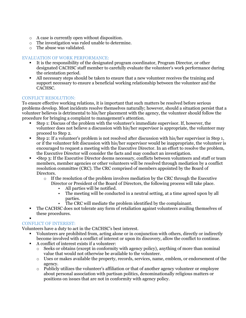- o A case is currently open without disposition.
- o The investigation was ruled unable to determine.
- o The abuse was validated.

#### EVALUATION OF WORK PERFORMANCE:

- It is the responsibility of the designated program coordinator, Program Director, or other designated CACHSC staff member to carefully evaluate the volunteer's work performance during the orientation period.
- All necessary steps should be taken to ensure that a new volunteer receives the training and support necessary to ensure a beneficial working relationship between the volunteer and the CACHSC.

#### CONFLICT RESOLUTION:

To ensure effective working relations, it is important that such matters be resolved before serious problems develop. Most incidents resolve themselves naturally; however, should a situation persist that a volunteer believes is detrimental to his/her placement with the agency, the volunteer should follow the procedure for bringing a complaint to management's attention.

- Step 1: Discuss of the problem with the volunteer's immediate supervisor. If, however, the volunteer does not believe a discussion with his/her supervisor is appropriate, the volunteer may proceed to Step 2.
- Step 2: If a volunteer's problem is not resolved after discussion with his/her supervisor in Step 1, or if the volunteer felt discussion with his/her supervisor would be inappropriate, the volunteer is encouraged to request a meeting with the Executive Director. In an effort to resolve the problem, the Executive Director will consider the facts and may conduct an investigation.
- •Step 3: If the Executive Director deems necessary, conflicts between volunteers and staff or team members, member agencies or other volunteers will be resolved through mediation by a conflict resolution committee (CRC). The CRC comprised of members appointed by the Board of Directors.
	- $\circ$  If the resolution of the problem involves mediation by the CRC through the Executive Director or President of the Board of Directors, the following process will take place.
		- All parties will be notified.
		- The meeting will be conducted in a neutral setting, at a time agreed upon by all parties.
		- The CRC will mediate the problem identified by the complainant.
- The CACHSC does not tolerate any form of retaliation against volunteers availing themselves of these procedures.

#### ▪ CONFLICT OF INTEREST:

Volunteers have a duty to act in the CACHSC's best interest.

- Volunteers are prohibited from, acting alone or in conjunction with others, directly or indirectly become involved with a conflict of interest or upon its discovery, allow the conflict to continue.
- A conflict of interest exists if a volunteer:
	- $\circ$  Seeks or obtains (except in conformity with agency policy), anything of more than nominal value that would not otherwise be available to the volunteer.
	- $\circ$  Uses or makes available the property, records, services, name, emblem, or endorsement of the agency.
	- $\circ$  Publicly utilizes the volunteer's affiliation or that of another agency volunteer or employee about personal association with partisan politics, denominationally religious matters or positions on issues that are not in conformity with agency policy.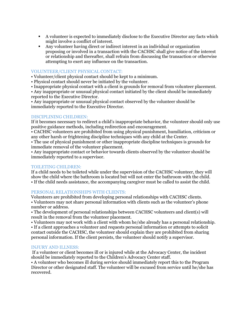- A volunteer is expected to immediately disclose to the Executive Director any facts which might involve a conflict of interest.
- Any volunteer having direct or indirect interest in an individual or organization proposing or involved in a transaction with the CACHSC shall give notice of the interest or relationship and thereafter, shall refrain from discussing the transaction or otherwise attempting to exert any influence on the transaction.

#### VOLUNTEER/CLIENT PHYSICAL CONTACT:

• Volunteer/client physical contact should be kept to a minimum.

• Physical contact should never be initiated by the volunteer.

• Inappropriate physical contact with a client is grounds for removal from volunteer placement.

• Any inappropriate or unusual physical contact initiated by the client should be immediately reported to the Executive Director.

• Any inappropriate or unusual physical contact observed by the volunteer should be immediately reported to the Executive Director.

#### DISCIPLINING CHILDREN:

If it becomes necessary to redirect a child's inappropriate behavior, the volunteer should only use positive guidance methods, including redirection and encouragement.

• CACHSC volunteers are prohibited from using physical punishment, humiliation, criticism or any other harsh or frightening discipline techniques with any child at the Center.

• The use of physical punishment or other inappropriate discipline techniques is grounds for immediate removal of the volunteer placement.

• Any inappropriate contact or behavior towards clients observed by the volunteer should be immediately reported to a supervisor.

#### TOILETING CHILDREN:

If a child needs to be toileted while under the supervision of the CACHSC volunteer, they will show the child where the bathroom is located but will not enter the bathroom with the child. • If the child needs assistance, the accompanying caregiver must be called to assist the child.

#### PERSONAL RELATIONSHIPS WITH CLIENTS:

Volunteers are prohibited from developing personal relationships with CACHSC clients.

• Volunteers may not share personal information with clients such as the volunteer's phone number or address.

• The development of personal relationships between CACHSC volunteers and client(s) will result in the removal from the volunteer placement.

• Volunteers may not work with a client with whom he/she already has a personal relationship.

• If a client approaches a volunteer and requests personal information or attempts to solicit contact outside the CACHSC, the volunteer should explain they are prohibited from sharing personal information. If the client persists, the volunteer should notify a supervisor.

#### INJURY AND ILLNESS:

If a volunteer or client becomes ill or is injured while at the Advocacy Center, the incident should be immediately reported to the Children's Advocacy Center staff.

• A volunteer who becomes ill during service should immediately report this to the Program Director or other designated staff. The volunteer will be excused from service until he/she has recovered.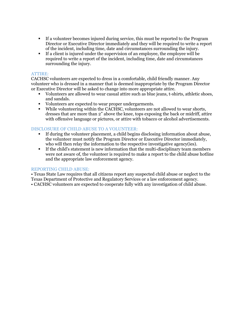- If a volunteer becomes injured during service, this must be reported to the Program Director or Executive Director immediately and they will be required to write a report of the incident, including time, date and circumstances surrounding the injury.
- If a client is injured under the supervision of an employee, the employee will be required to write a report of the incident, including time, date and circumstances surrounding the injury.

#### ATTIRE:

CACHSC volunteers are expected to dress in a comfortable, child friendly manner. Any volunteer who is dressed in a manner that is deemed inappropriate by the Program Director or Executive Director will be asked to change into more appropriate attire.

- Volunteers are allowed to wear casual attire such as blue jeans, t-shirts, athletic shoes, and sandals.
- Volunteers are expected to wear proper undergarments.
- While volunteering within the CACHSC, volunteers are not allowed to wear shorts, dresses that are more than 2" above the knee, tops exposing the back or midriff, attire with offensive language or pictures, or attire with tobacco or alcohol advertisements.

#### DISCLOSURE OF CHILD ABUSE TO A VOLUNTEER:

- If during the volunteer placement, a child begins disclosing information about abuse, the volunteer must notify the Program Director or Executive Director immediately, who will then relay the information to the respective investigative agency(ies).
- If the child's statement is new information that the multi-disciplinary team members were not aware of, the volunteer is required to make a report to the child abuse hotline and the appropriate law enforcement agency.

#### REPORTING CHILD ABUSE:

• Texas State Law requires that all citizens report any suspected child abuse or neglect to the Texas Department of Protective and Regulatory Services or a law enforcement agency. • CACHSC volunteers are expected to cooperate fully with any investigation of child abuse.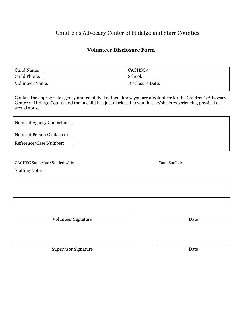# **Volunteer Disclosure Form**

| Child Name:<br><u> 1989 - Johann Stein, mars an de Brasilia (b. 1989)</u>                                                                                                                                                                 | CACHSC#:                                                                                                               |
|-------------------------------------------------------------------------------------------------------------------------------------------------------------------------------------------------------------------------------------------|------------------------------------------------------------------------------------------------------------------------|
| Child Phone:<br><u> 1989 - Johann Stoff, deutscher Stoffen und der Stoffen und der Stoffen und der Stoffen und der Stoffen und der</u>                                                                                                    | School:                                                                                                                |
| <b>Volunteer Name:</b>                                                                                                                                                                                                                    | Disclosure Date: 2000 Contract Date: 2000 Contract Date: 2000 Contract Date: 2000 Contract Date: 2000 Contract Date:   |
|                                                                                                                                                                                                                                           |                                                                                                                        |
| Contact the appropriate agency immediately. Let them know you are a Volunteer for the Children's Advocacy<br>Center of Hidalgo County and that a child has just disclosed to you that he/she is experiencing physical or<br>sexual abuse. |                                                                                                                        |
| Name of Agency Contacted:                                                                                                                                                                                                                 | <u> 1980 - Jan Samuel Barbara, margaret e populazion del control de la provincia del control de la provincia del</u>   |
| Name of Person Contacted:                                                                                                                                                                                                                 | <u> 1989 - Johann Stoff, deutscher Stoffen und der Stoffen und der Stoffen und der Stoffen und der Stoffen und der</u> |
| Reference/Case Number:                                                                                                                                                                                                                    |                                                                                                                        |
|                                                                                                                                                                                                                                           |                                                                                                                        |
|                                                                                                                                                                                                                                           | Date Staffed:                                                                                                          |
| <b>Staffing Notes:</b>                                                                                                                                                                                                                    |                                                                                                                        |
|                                                                                                                                                                                                                                           |                                                                                                                        |
|                                                                                                                                                                                                                                           |                                                                                                                        |
|                                                                                                                                                                                                                                           |                                                                                                                        |
|                                                                                                                                                                                                                                           |                                                                                                                        |
|                                                                                                                                                                                                                                           |                                                                                                                        |
| Volunteer Signature                                                                                                                                                                                                                       | Date                                                                                                                   |
|                                                                                                                                                                                                                                           |                                                                                                                        |
|                                                                                                                                                                                                                                           |                                                                                                                        |
| <b>Supervisor Signature</b>                                                                                                                                                                                                               | Date                                                                                                                   |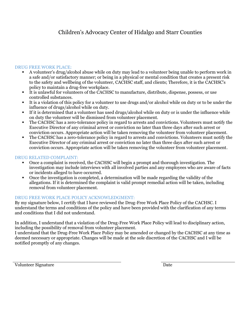#### DRUG FREE WORK PLACE:

- A volunteer's drug/alcohol abuse while on duty may lead to a volunteer being unable to perform work in a safe and/or satisfactory manner; or being in a physical or mental condition that creates a present risk to the safety and wellbeing of the volunteer, CACHSC staff, and clients; Therefore, it is the CACHSC's policy to maintain a drug-free workplace.
- It is unlawful for volunteers of the CACHSC to manufacture, distribute, dispense, possess, or use controlled substances.
- It is a violation of this policy for a volunteer to use drugs and/or alcohol while on duty or to be under the influence of drugs/alcohol while on duty.
- If it is determined that a volunteer has used drugs/alcohol while on duty or is under the influence while on duty the volunteer will be dismissed from volunteer placement.
- The CACHSC has a zero-tolerance policy in regard to arrests and convictions. Volunteers must notify the Executive Director of any criminal arrest or conviction no later than three days after such arrest or conviction occurs. Appropriate action will be taken removing the volunteer from volunteer placement.
- The CACHSC has a zero-tolerance policy in regard to arrests and convictions. Volunteers must notify the Executive Director of any criminal arrest or conviction no later than three days after such arrest or conviction occurs. Appropriate action will be taken removing the volunteer from volunteer placement.

#### DRUG RELATED COMPLAINT:

- Once a complaint is received, the CACHSC will begin a prompt and thorough investigation. The investigation may include interviews with all involved parties and any employees who are aware of facts or incidents alleged to have occurred.
- Once the investigation is completed, a determination will be made regarding the validity of the allegations. If it is determined the complaint is valid prompt remedial action will be taken, including removal from volunteer placement.

#### DRUG FREE WORK PLACE POLICY ACKNOWLEDGMENT:

By my signature below, I certify that I have reviewed the Drug-Free Work Place Policy of the CACHSC. I understand the terms and conditions of the policy and have been provided with the clarification of any terms and conditions that I did not understand.

In addition, I understand that a violation of the Drug-Free Work Place Policy will lead to disciplinary action, including the possibility of removal from volunteer placement.

I understand that the Drug-Free Work Place Policy may be amended or changed by the CACHSC at any time as deemed necessary or appropriate. Changes will be made at the sole discretion of the CACHSC and I will be notified promptly of any changes.

Volunteer Signature Date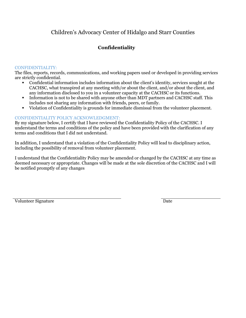# **Confidentiality**

#### CONFIDENTIALITY:

The files, reports, records, communications, and working papers used or developed in providing services are strictly confidential.

- Confidential information includes information about the client's identity, services sought at the CACHSC, what transpired at any meeting with/or about the client, and/or about the client, and any information disclosed to you in a volunteer capacity at the CACHSC or its functions.
- Information is not to be shared with anyone other than MDT partners and CACHSC staff. This includes not sharing any information with friends, peers, or family.
- Violation of Confidentiality is grounds for immediate dismissal from the volunteer placement.

#### CONFIDENTIALITY POLICY ACKNOWLEDGMENT:

By my signature below, I certify that I have reviewed the Confidentiality Policy of the CACHSC. I understand the terms and conditions of the policy and have been provided with the clarification of any terms and conditions that I did not understand.

In addition, I understand that a violation of the Confidentiality Policy will lead to disciplinary action, including the possibility of removal from volunteer placement.

I understand that the Confidentiality Policy may be amended or changed by the CACHSC at any time as deemed necessary or appropriate. Changes will be made at the sole discretion of the CACHSC and I will be notified promptly of any changes

Volunteer Signature Date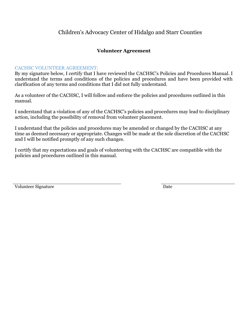#### **Volunteer Agreement**

#### CACHSC VOLUNTEER AGREEMENT:

By my signature below, I certify that I have reviewed the CACHSC's Policies and Procedures Manual. I understand the terms and conditions of the policies and procedures and have been provided with clarification of any terms and conditions that I did not fully understand.

As a volunteer of the CACHSC, I will follow and enforce the policies and procedures outlined in this manual.

I understand that a violation of any of the CACHSC's policies and procedures may lead to disciplinary action, including the possibility of removal from volunteer placement.

I understand that the policies and procedures may be amended or changed by the CACHSC at any time as deemed necessary or appropriate. Changes will be made at the sole discretion of the CACHSC and I will be notified promptly of any such changes.

I certify that my expectations and goals of volunteering with the CACHSC are compatible with the policies and procedures outlined in this manual.

Volunteer Signature Date